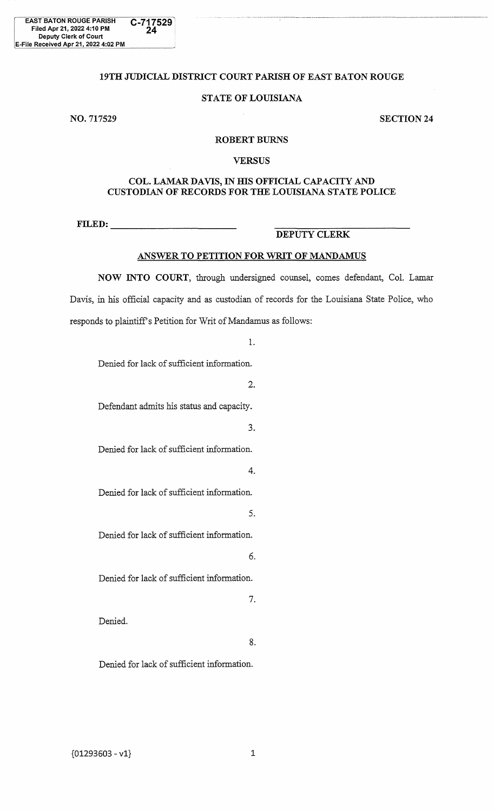## 19TH JUDICIAL DISTRICT COURT PARISH OF EAST BATON ROUGE

## STATE OF LOUISIANA

NO. 717529

SECTION<sub>24</sub>

#### **ROBERT BURNS**

### **VERSUS**

## **COL. LAMAR DA VIS,** IN ms OFFICIAL CAPACITY AND **CUSTODIAN OF RECORDS FOR THE LOUISIANA STATE POLICE**

# FILED: <u>DEPUTY CLERK</u>

# **ANSWER TO PETITION FOR WRIT OF MANDAMUS**

**NOW INTO COURT,** through undersigned counsel, comes defendant, Col. Lamar Davis, in his official capacity and as custodian of records for the Louisiana State Police, who responds to plaintiff's Petition for Writ of Mandamus as follows:

1.

Denied for lack of sufficient information.

2. Defendant admits his status and capacity. 3. Denied for lack of sufficient information. 4. Denied for lack of sufficient information. 5. Denied for lack of sufficient information. 6. Denied for lack of sufficient information. 7. Denied. 8. Denied for lack of sufficient information.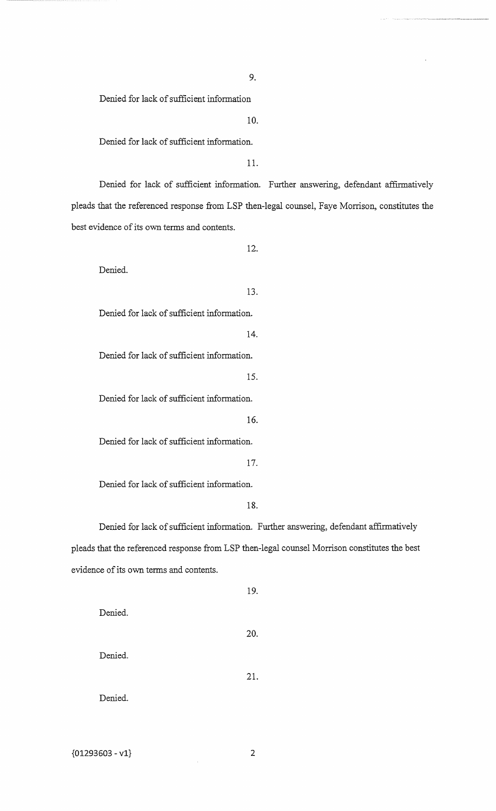Denied for lack of sufficient information

10.

Denied for lack of sufficient information.

11.

Denied for lack of sufficient information. Further answering, defendant affirmatively pleads that the referenced response from LSP then-legal counsel, Faye Morrison, constitutes the best evidence of its own terms and contents.

12.

Denied.

13. Denied for lack of sufficient information. 14. Denied for lack of sufficient information. 15. Denied for lack of sufficient information. 16. Denied for lack of sufficient information. 17. Denied for lack of sufficient information. 18.

Denied for lack of sufficient information. Further answering, defendant affirmatively pleads that the referenced response from LSP then-legal counsel Morrison constitutes the best evidence of its own terms and contents.

|         | 19. |
|---------|-----|
| Denied. |     |
|         | 20. |
| Denied. |     |
|         | 21. |
| Denied. |     |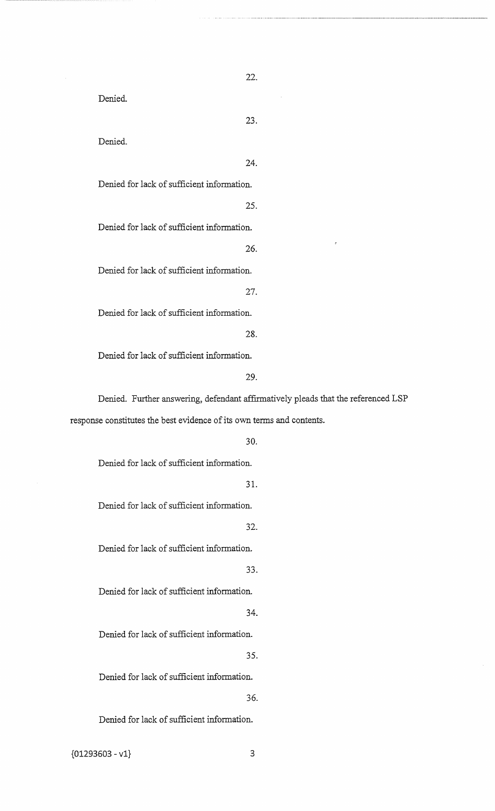Denied.

Denied.

24.

23.

Denied for lack of sufficient information.

25.

Denied for lack of sufficient information.

26.

Denied for lack of sufficient information.

27.

Denied for lack of sufficient information.

28.

Denied for lack of sufficient information.

#### 29.

Denied. Further answering, defendant affirmatively pleads that the referenced LSP response constitutes the best evidence of its own terms and contents.

## 30.

Denied for lack of sufficient information.

31.

Denied for lack of sufficient information.

Denied for lack of sufficient information.

33.

32.

Denied for lack of sufficient information.

34.

Denied for lack of sufficient information.

35.

Denied for lack of sufficient information.

36.

Denied for lack of sufficient information.

 ${01293603 - v1}$  3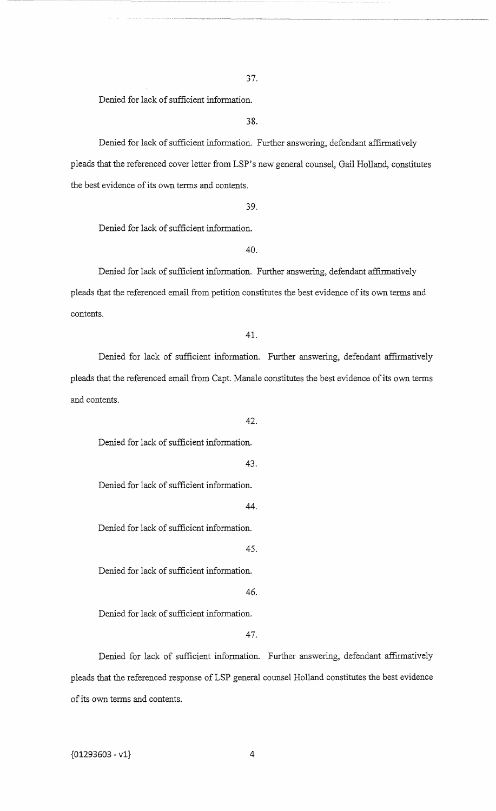Denied for lack of sufficient information.

38.

Denied for lack of sufficient information. Further answering, defendant affirmatively pleads that the referenced cover letter from LSP's new general counsel, Gail Holland, constitutes the best evidence of its own terms and contents.

39.

Denied for lack of sufficient information.

40.

Denied for lack of sufficient information. Further answering, defendant affirmatively pleads that the referenced email from petition constitutes the best evidence of its own terms and contents.

41.

Denied for lack of sufficient information. Further answering, defendant affirmatively pleads that the referenced email from Capt. Manale constitutes the best evidence of its own terms and contents.

42.

Denied for lack of sufficient information.

43.

Denied for lack of sufficient information.

44.

Denied for lack of sufficient information.

45.

Denied for lack of sufficient information.

46.

Denied for lack of sufficient information.

47.

Denied for lack of sufficient information. Further answering, defendant affirmatively pleads that the referenced response of LSP general counsel Holland constitutes the best evidence of its own terms and contents.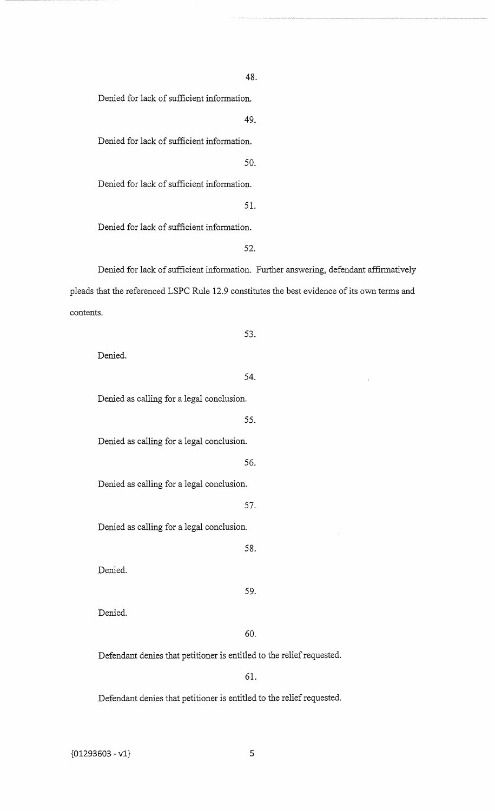48.

Denied for lack of sufficient information.

49.

Denied for lack of sufficient information.

50.

Denied for lack of sufficient information.

51.

Denied for lack of sufficient information.

52.

Denied for lack of sufficient information. Further answering, defendant affirmatively pleads that the referenced LSPC Rule 12.9 constitutes the best evidence of its own terms and contents.

53.

54.

Denied.

Denied as calling for a legal conclusion. 55. Denied as calling for a legal conclusion. 56. Denied as calling for a legal conclusion. 57. Denied as calling for a legal conclusion. 58. Denied. 59. Denied. 60. Defendant denies that petitioner is entitled to the relief requested. 61.

Defendant denies that petitioner is entitled to the relief requested.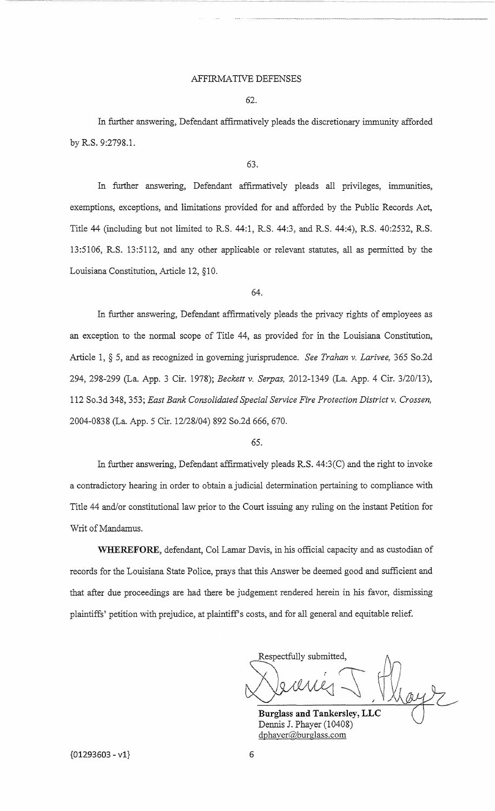#### 62.

In further answering, Defendant affirmatively pleads the discretionary immunity afforded by R.S. 9:2798.1.

## 63.

In further answering, Defendant affirmatively pleads all privileges, immunities, exemptions, exceptions, and limitations provided for and afforded by the Public Records Act, Title 44 (including but not limited to R.S. 44:1, R.S. 44:3, and R.S. 44:4), R.S. 40:2532, R.S. 13:5106, R.S. 13:5112, and any other applicable or relevant statutes, all as permitted by the Louisiana Constitution, Article 12, §10.

#### 64.

In further answering, Defendant affirmatively pleads the privacy rights of employees as an exception to the normal scope of Title 44, as provided for in the Louisiana Constitution, Article 1, § 5, and as recognized in governing jurisprudence. *See Trahan v. Larivee,* 365 So.2d 294, 298-299 (La. App. 3 Cir. 1978); *Beckett v. Serpas,* 2012-1349 (La. App. 4 Cir. 3/20/13), 112 So.3d 348, 353; *East Bank Consolidated Special Service Fire Protection District v. Crossen,*  2004-0838 (La. App. 5 Cir. 12/28/04) 892 So.2d 666, 670.

65.

In further answering, Defendant affirmatively pleads R.S. 44:3(C) and the right to invoke a contradictory hearing in order to obtain a judicial determination pertaining to compliance with Title 44 and/or constitutional law prior to the Court issuing any ruling on the instant Petition for Writ of Mandamus.

**WHEREFORE,** defendant, Col Lamar Davis, in his official capacity and as custodian of records for the Louisiana State Police, prays that this Answer be deemed good and sufficient and that after due proceedings are had there be judgement rendered herein in his favor, dismissing plaintiffs' petition with prejudice, at plaintiff's costs, and for all general and equitable relief.

Respectfully submitted, hayt

**Burglass and Tankersley, LLC**  Dennis J. Phayer (10408) dphaver@burglass.com